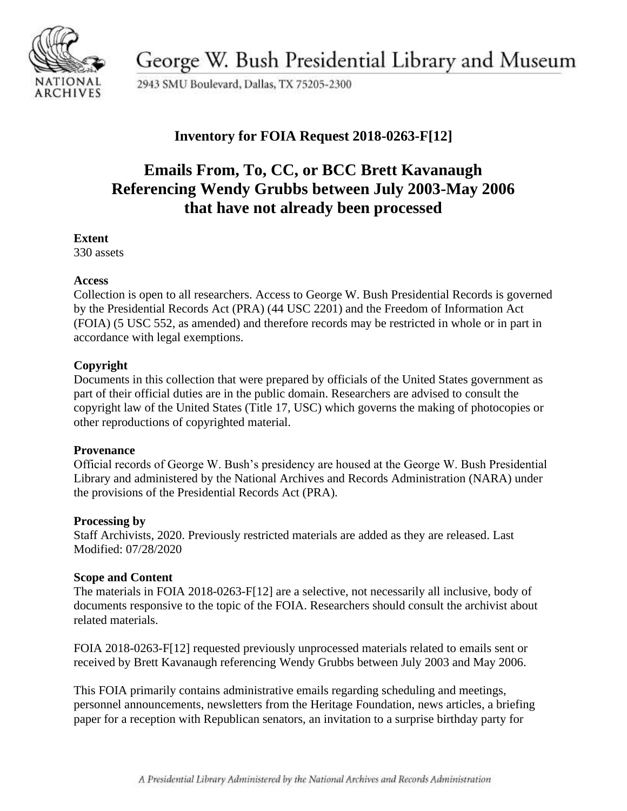

George W. Bush Presidential Library and Museum

2943 SMU Boulevard, Dallas, TX 75205-2300

## **Inventory for FOIA Request 2018-0263-F[12]**

# **Emails From, To, CC, or BCC Brett Kavanaugh Referencing Wendy Grubbs between July 2003-May 2006 that have not already been processed**

#### **Extent**

330 assets

### **Access**

Collection is open to all researchers. Access to George W. Bush Presidential Records is governed by the Presidential Records Act (PRA) (44 USC 2201) and the Freedom of Information Act (FOIA) (5 USC 552, as amended) and therefore records may be restricted in whole or in part in accordance with legal exemptions.

## **Copyright**

Documents in this collection that were prepared by officials of the United States government as part of their official duties are in the public domain. Researchers are advised to consult the copyright law of the United States (Title 17, USC) which governs the making of photocopies or other reproductions of copyrighted material.

#### **Provenance**

 Official records of George W. Bush's presidency are housed at the George W. Bush Presidential Library and administered by the National Archives and Records Administration (NARA) under the provisions of the Presidential Records Act (PRA).

#### **Processing by**

Staff Archivists, 2020. Previously restricted materials are added as they are released. Last Modified: 07/28/2020

#### **Scope and Content**

The materials in FOIA 2018-0263-F[12] are a selective, not necessarily all inclusive, body of documents responsive to the topic of the FOIA. Researchers should consult the archivist about related materials.

FOIA 2018-0263-F[12] requested previously unprocessed materials related to emails sent or received by Brett Kavanaugh referencing Wendy Grubbs between July 2003 and May 2006.

This FOIA primarily contains administrative emails regarding scheduling and meetings, personnel announcements, newsletters from the Heritage Foundation, news articles, a briefing paper for a reception with Republican senators, an invitation to a surprise birthday party for